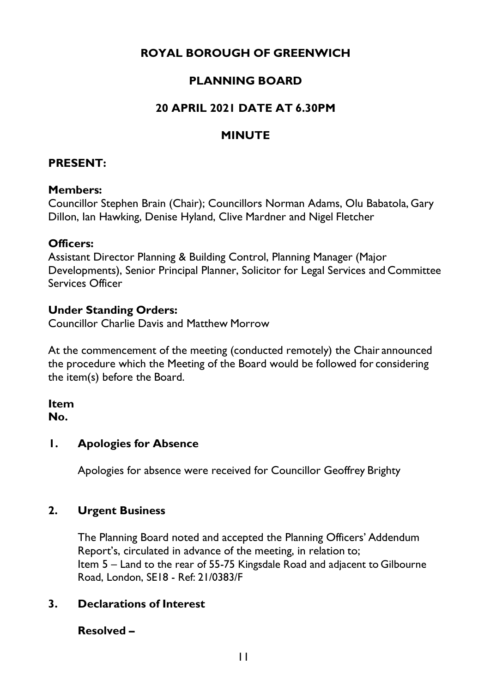# **ROYAL BOROUGH OF GREENWICH**

# **PLANNING BOARD**

## **20 APRIL 2021 DATE AT 6.30PM**

## **MINUTE**

#### **PRESENT:**

#### **Members:**

Councillor Stephen Brain (Chair); Councillors Norman Adams, Olu Babatola, Gary Dillon, Ian Hawking, Denise Hyland, Clive Mardner and Nigel Fletcher

#### **Officers:**

Assistant Director Planning & Building Control, Planning Manager (Major Developments), Senior Principal Planner, Solicitor for Legal Services and Committee Services Officer

## **Under Standing Orders:**

Councillor Charlie Davis and Matthew Morrow

At the commencement of the meeting (conducted remotely) the Chair announced the procedure which the Meeting of the Board would be followed for considering the item(s) before the Board.

## **Item**

**No.**

## **1. Apologies for Absence**

Apologies for absence were received for Councillor Geoffrey Brighty

## **2. Urgent Business**

The Planning Board noted and accepted the Planning Officers' Addendum Report's, circulated in advance of the meeting, in relation to; Item 5 – Land to the rear of 55-75 Kingsdale Road and adjacent to Gilbourne Road, London, SE18 - Ref: 21/0383/F

## **3. Declarations of Interest**

## **Resolved –**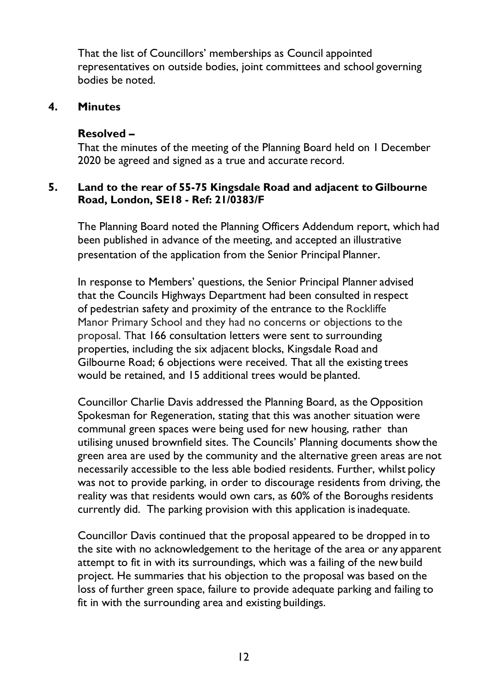That the list of Councillors' memberships as Council appointed representatives on outside bodies, joint committees and school governing bodies be noted.

#### **4. Minutes**

#### **Resolved –**

That the minutes of the meeting of the Planning Board held on 1 December 2020 be agreed and signed as a true and accurate record.

#### **5. Land to the rear of 55-75 Kingsdale Road and adjacent to Gilbourne Road, London, SE18 - Ref: 21/0383/F**

The Planning Board noted the Planning Officers Addendum report, which had been published in advance of the meeting, and accepted an illustrative presentation of the application from the Senior Principal Planner.

In response to Members' questions, the Senior Principal Planner advised that the Councils Highways Department had been consulted in respect of pedestrian safety and proximity of the entrance to the Rockliffe Manor Primary School and they had no concerns or objections to the proposal. That 166 consultation letters were sent to surrounding properties, including the six adjacent blocks, Kingsdale Road and Gilbourne Road; 6 objections were received. That all the existing trees would be retained, and 15 additional trees would be planted.

Councillor Charlie Davis addressed the Planning Board, as the Opposition Spokesman for Regeneration, stating that this was another situation were communal green spaces were being used for new housing, rather than utilising unused brownfield sites. The Councils' Planning documents show the green area are used by the community and the alternative green areas are not necessarily accessible to the less able bodied residents. Further, whilst policy was not to provide parking, in order to discourage residents from driving, the reality was that residents would own cars, as 60% of the Boroughs residents currently did. The parking provision with this application is inadequate.

Councillor Davis continued that the proposal appeared to be dropped in to the site with no acknowledgement to the heritage of the area or any apparent attempt to fit in with its surroundings, which was a failing of the new build project. He summaries that his objection to the proposal was based on the loss of further green space, failure to provide adequate parking and failing to fit in with the surrounding area and existing buildings.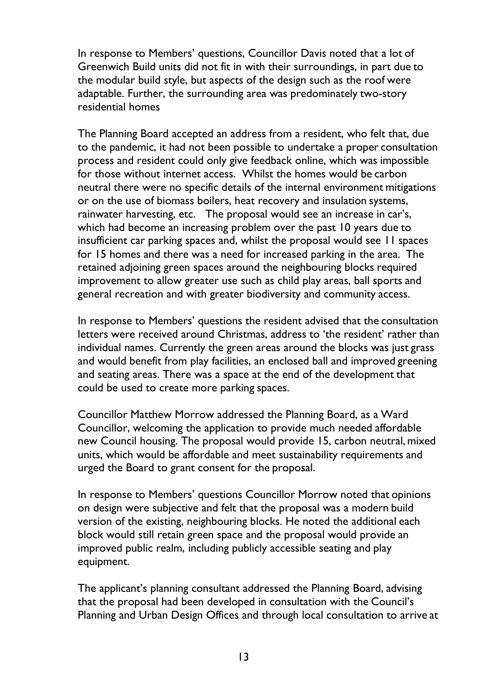In response to Members' questions, Councillor Davis noted that a lot of Greenwich Build units did not fit in with their surroundings, in part due to the modular build style, but aspects of the design such as the roof were adaptable. Further, the surrounding area was predominately two-story residential homes

The Planning Board accepted an address from a resident, who felt that, due to the pandemic, it had not been possible to undertake a proper consultation process and resident could only give feedback online, which was impossible for those without internet access. Whilst the homes would be carbon neutral there were no specific details of the internal environment mitigations or on the use of biomass boilers, heat recovery and insulation systems, rainwater harvesting, etc. The proposal would see an increase in car's, which had become an increasing problem over the past 10 years due to insufficient car parking spaces and, whilst the proposal would see 11 spaces for 15 homes and there was a need for increased parking in the area. The retained adjoining green spaces around the neighbouring blocks required improvement to allow greater use such as child play areas, ball sports and general recreation and with greater biodiversity and community access.

In response to Members' questions the resident advised that the consultation letters were received around Christmas, address to 'the resident' rather than individual names. Currently the green areas around the blocks was just grass and would benefit from play facilities, an enclosed ball and improved greening and seating areas. There was a space at the end of the development that could be used to create more parking spaces.

Councillor Matthew Morrow addressed the Planning Board, as a Ward Councillor, welcoming the application to provide much needed affordable new Council housing. The proposal would provide 15, carbon neutral, mixed units, which would be affordable and meet sustainability requirements and urged the Board to grant consent for the proposal.

In response to Members' questions Councillor Morrow noted that opinions on design were subjective and felt that the proposal was a modern build version of the existing, neighbouring blocks. He noted the additional each block would still retain green space and the proposal would provide an improved public realm, including publicly accessible seating and play equipment.

The applicant's planning consultant addressed the Planning Board, advising that the proposal had been developed in consultation with the Council's Planning and Urban Design Offices and through local consultation to arrive at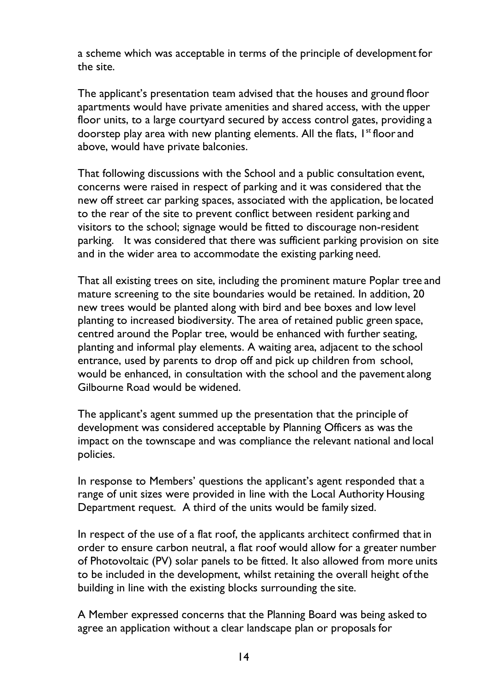a scheme which was acceptable in terms of the principle of development for the site.

The applicant's presentation team advised that the houses and ground floor apartments would have private amenities and shared access, with the upper floor units, to a large courtyard secured by access control gates, providing a doorstep play area with new planting elements. All the flats, I<sup>st</sup> floor and above, would have private balconies.

That following discussions with the School and a public consultation event, concerns were raised in respect of parking and it was considered that the new off street car parking spaces, associated with the application, be located to the rear of the site to prevent conflict between resident parking and visitors to the school; signage would be fitted to discourage non-resident parking. It was considered that there was sufficient parking provision on site and in the wider area to accommodate the existing parking need.

That all existing trees on site, including the prominent mature Poplar tree and mature screening to the site boundaries would be retained. In addition, 20 new trees would be planted along with bird and bee boxes and low level planting to increased biodiversity. The area of retained public green space, centred around the Poplar tree, would be enhanced with further seating, planting and informal play elements. A waiting area, adjacent to the school entrance, used by parents to drop off and pick up children from school, would be enhanced, in consultation with the school and the pavement along Gilbourne Road would be widened.

The applicant's agent summed up the presentation that the principle of development was considered acceptable by Planning Officers as was the impact on the townscape and was compliance the relevant national and local policies.

In response to Members' questions the applicant's agent responded that a range of unit sizes were provided in line with the Local Authority Housing Department request. A third of the units would be family sized.

In respect of the use of a flat roof, the applicants architect confirmed that in order to ensure carbon neutral, a flat roof would allow for a greater number of Photovoltaic (PV) solar panels to be fitted. It also allowed from more units to be included in the development, whilst retaining the overall height ofthe building in line with the existing blocks surrounding the site.

A Member expressed concerns that the Planning Board was being asked to agree an application without a clear landscape plan or proposals for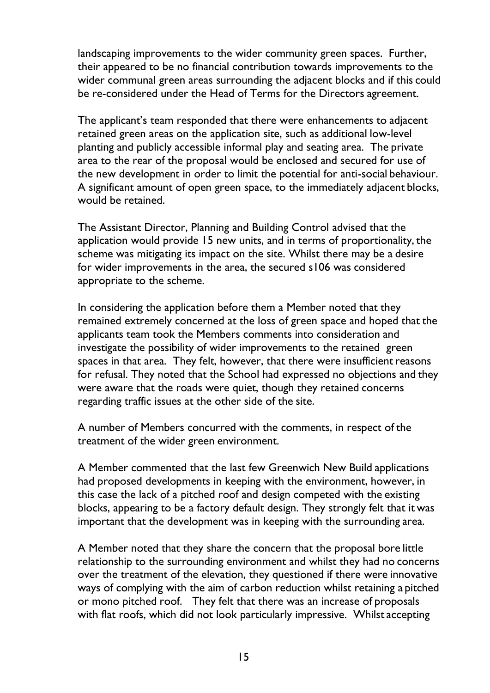landscaping improvements to the wider community green spaces. Further, their appeared to be no financial contribution towards improvements to the wider communal green areas surrounding the adjacent blocks and if this could be re-considered under the Head of Terms for the Directors agreement.

The applicant's team responded that there were enhancements to adjacent retained green areas on the application site, such as additional low-level planting and publicly accessible informal play and seating area. The private area to the rear of the proposal would be enclosed and secured for use of the new development in order to limit the potential for anti-social behaviour. A significant amount of open green space, to the immediately adjacent blocks, would be retained.

The Assistant Director, Planning and Building Control advised that the application would provide 15 new units, and in terms of proportionality, the scheme was mitigating its impact on the site. Whilst there may be a desire for wider improvements in the area, the secured s106 was considered appropriate to the scheme.

In considering the application before them a Member noted that they remained extremely concerned at the loss of green space and hoped that the applicants team took the Members comments into consideration and investigate the possibility of wider improvements to the retained green spaces in that area. They felt, however, that there were insufficient reasons for refusal. They noted that the School had expressed no objections and they were aware that the roads were quiet, though they retained concerns regarding traffic issues at the other side of the site.

A number of Members concurred with the comments, in respect of the treatment of the wider green environment.

A Member commented that the last few Greenwich New Build applications had proposed developments in keeping with the environment, however, in this case the lack of a pitched roof and design competed with the existing blocks, appearing to be a factory default design. They strongly felt that it was important that the development was in keeping with the surrounding area.

A Member noted that they share the concern that the proposal bore little relationship to the surrounding environment and whilst they had no concerns over the treatment of the elevation, they questioned if there were innovative ways of complying with the aim of carbon reduction whilst retaining a pitched or mono pitched roof. They felt that there was an increase of proposals with flat roofs, which did not look particularly impressive. Whilst accepting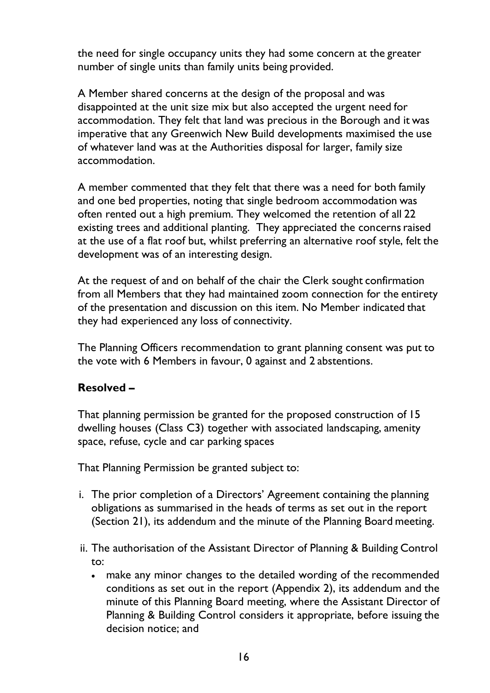the need for single occupancy units they had some concern at the greater number of single units than family units being provided.

A Member shared concerns at the design of the proposal and was disappointed at the unit size mix but also accepted the urgent need for accommodation. They felt that land was precious in the Borough and it was imperative that any Greenwich New Build developments maximised the use of whatever land was at the Authorities disposal for larger, family size accommodation.

A member commented that they felt that there was a need for both family and one bed properties, noting that single bedroom accommodation was often rented out a high premium. They welcomed the retention of all 22 existing trees and additional planting. They appreciated the concerns raised at the use of a flat roof but, whilst preferring an alternative roof style, felt the development was of an interesting design.

At the request of and on behalf of the chair the Clerk sought confirmation from all Members that they had maintained zoom connection for the entirety of the presentation and discussion on this item. No Member indicated that they had experienced any loss of connectivity.

The Planning Officers recommendation to grant planning consent was put to the vote with 6 Members in favour, 0 against and 2 abstentions.

## **Resolved –**

That planning permission be granted for the proposed construction of 15 dwelling houses (Class C3) together with associated landscaping, amenity space, refuse, cycle and car parking spaces

That Planning Permission be granted subject to:

- i. The prior completion of a Directors' Agreement containing the planning obligations as summarised in the heads of terms as set out in the report (Section 21), its addendum and the minute of the Planning Board meeting.
- ii. The authorisation of the Assistant Director of Planning & Building Control to:
	- make any minor changes to the detailed wording of the recommended conditions as set out in the report (Appendix 2), its addendum and the minute of this Planning Board meeting, where the Assistant Director of Planning & Building Control considers it appropriate, before issuing the decision notice; and